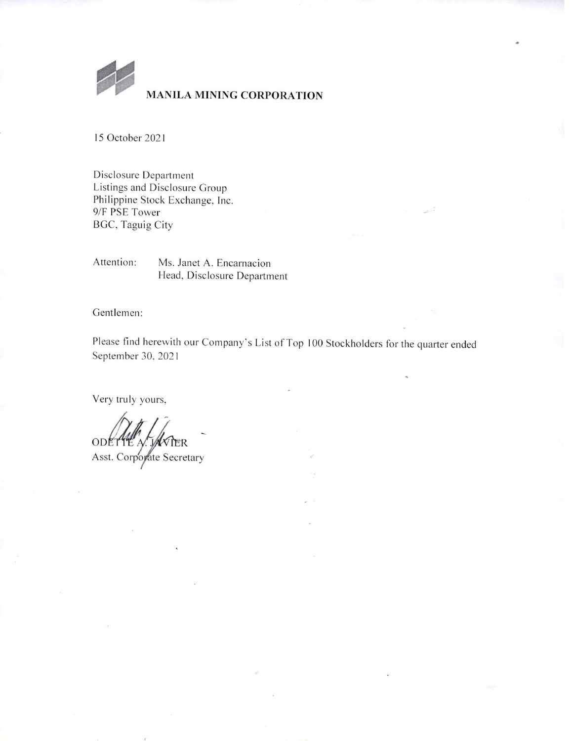

# **MANILA MINING CORPORATION**

15 October 2021

Disclosure Department Listings and Disclosure Group Philippine Stock Exchange, Inc. 9/F PSE Tower **BGC, Taguig City** 

Attention: Ms. Janet A. Encarnacion Head, Disclosure Department

Gentlemen:

Please find herewith our Company's List of Top 100 Stockholders for the quarter ended September 30, 2021

Very truly yours,

ODETTE A. IER Asst. Corporate Secretary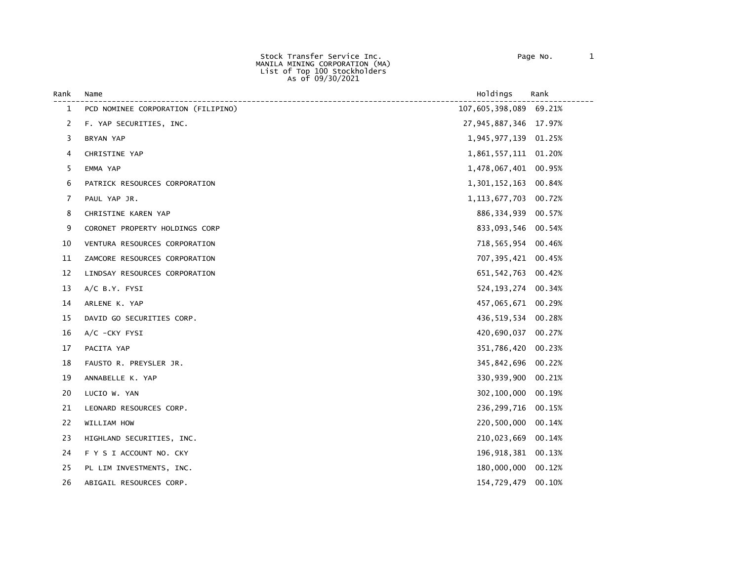Stock Transfer Service Inc. Page No. 1 MANILA MINING CORPORATION (MA) List of Top 100 Stockholders As of 09/30/2021

| Rank | Name                               | Holdings               | Rank   |
|------|------------------------------------|------------------------|--------|
| 1    | PCD NOMINEE CORPORATION (FILIPINO) | 107,605,398,089 69.21% |        |
| 2    | F. YAP SECURITIES, INC.            | 27,945,887,346 17.97%  |        |
| 3    | BRYAN YAP                          | 1,945,977,139 01.25%   |        |
| 4    | CHRISTINE YAP                      | 1,861,557,111 01.20%   |        |
| 5    | EMMA YAP                           | 1,478,067,401 00.95%   |        |
| 6    | PATRICK RESOURCES CORPORATION      | 1,301,152,163          | 00.84% |
| 7    | PAUL YAP JR.                       | 1, 113, 677, 703       | 00.72% |
| 8    | CHRISTINE KAREN YAP                | 886, 334, 939          | 00.57% |
| 9    | CORONET PROPERTY HOLDINGS CORP     | 833,093,546 00.54%     |        |
| 10   | VENTURA RESOURCES CORPORATION      | 718,565,954 00.46%     |        |
| 11   | ZAMCORE RESOURCES CORPORATION      | 707, 395, 421 00.45%   |        |
| 12   | LINDSAY RESOURCES CORPORATION      | 651, 542, 763          | 00.42% |
| 13   | $A/C$ B.Y. FYSI                    | 524, 193, 274 00.34%   |        |
| 14   | ARLENE K. YAP                      | 457,065,671 00.29%     |        |
| 15   | DAVID GO SECURITIES CORP.          | 436,519,534 00.28%     |        |
| 16   | A/C -CKY FYSI                      | 420,690,037            | 00.27% |
| 17   | PACITA YAP                         | 351,786,420            | 00.23% |
| 18   | FAUSTO R. PREYSLER JR.             | 345,842,696            | 00.22% |
| 19   | ANNABELLE K. YAP                   | 330,939,900            | 00.21% |
| 20   | LUCIO W. YAN                       | 302,100,000            | 00.19% |
| 21   | LEONARD RESOURCES CORP.            | 236,299,716            | 00.15% |
| 22   | WILLIAM HOW                        | 220,500,000            | 00.14% |
| 23   | HIGHLAND SECURITIES, INC.          | 210,023,669            | 00.14% |
| 24   | F Y S I ACCOUNT NO. CKY            | 196,918,381            | 00.13% |
| 25   | PL LIM INVESTMENTS, INC.           | 180,000,000            | 00.12% |
| 26   | ABIGAIL RESOURCES CORP.            | 154,729,479            | 00.10% |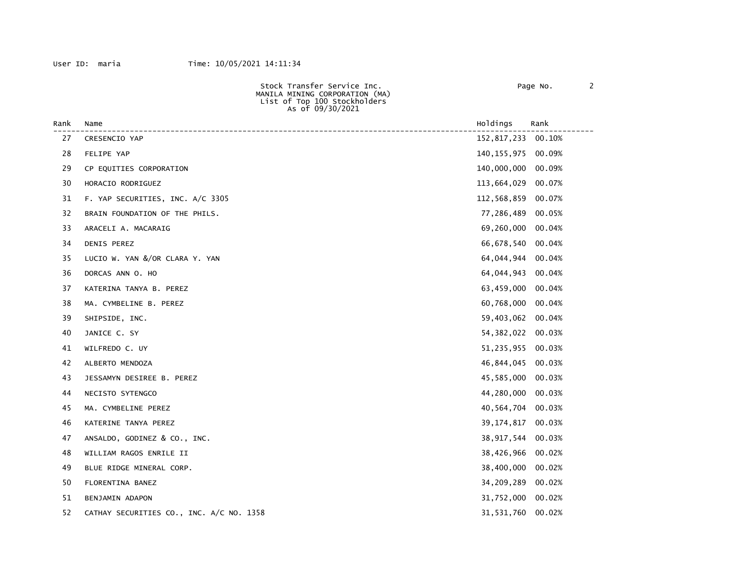| Stock Transfer Service Inc.    | Page No. |  |
|--------------------------------|----------|--|
| MANILA MINING CORPORATION (MA) |          |  |
| List of Top 100 Stockholders   |          |  |
| As of 09/30/2021               |          |  |
|                                |          |  |

| Rank | Name                                     | Holdings      | Rank   |
|------|------------------------------------------|---------------|--------|
| 27   | CRESENCIO YAP                            | 152,817,233   | 00.10% |
| 28   | FELIPE YAP                               | 140, 155, 975 | 00.09% |
| 29   | CP EQUITIES CORPORATION                  | 140,000,000   | 00.09% |
| 30   | HORACIO RODRIGUEZ                        | 113,664,029   | 00.07% |
| 31   | F. YAP SECURITIES, INC. A/C 3305         | 112,568,859   | 00.07% |
| 32   | BRAIN FOUNDATION OF THE PHILS.           | 77,286,489    | 00.05% |
| 33   | ARACELI A. MACARAIG                      | 69,260,000    | 00.04% |
| 34   | DENIS PEREZ                              | 66,678,540    | 00.04% |
| 35   | LUCIO W. YAN &/OR CLARA Y. YAN           | 64,044,944    | 00.04% |
| 36   | DORCAS ANN O. HO                         | 64,044,943    | 00.04% |
| 37   | KATERINA TANYA B. PEREZ                  | 63,459,000    | 00.04% |
| 38   | MA. CYMBELINE B. PEREZ                   | 60,768,000    | 00.04% |
| 39   | SHIPSIDE, INC.                           | 59,403,062    | 00.04% |
| 40   | JANICE C. SY                             | 54,382,022    | 00.03% |
| 41   | WILFREDO C. UY                           | 51,235,955    | 00.03% |
| 42   | ALBERTO MENDOZA                          | 46,844,045    | 00.03% |
| 43   | JESSAMYN DESIREE B. PEREZ                | 45,585,000    | 00.03% |
| 44   | NECISTO SYTENGCO                         | 44,280,000    | 00.03% |
| 45   | MA. CYMBELINE PEREZ                      | 40,564,704    | 00.03% |
| 46   | KATERINE TANYA PEREZ                     | 39,174,817    | 00.03% |
| 47   | ANSALDO, GODINEZ & CO., INC.             | 38,917,544    | 00.03% |
| 48   | WILLIAM RAGOS ENRILE II                  | 38,426,966    | 00.02% |
| 49   | BLUE RIDGE MINERAL CORP.                 | 38,400,000    | 00.02% |
| 50   | FLORENTINA BANEZ                         | 34,209,289    | 00.02% |
| 51   | BENJAMIN ADAPON                          | 31,752,000    | 00.02% |
| 52   | CATHAY SECURITIES CO., INC. A/C NO. 1358 | 31,531,760    | 00.02% |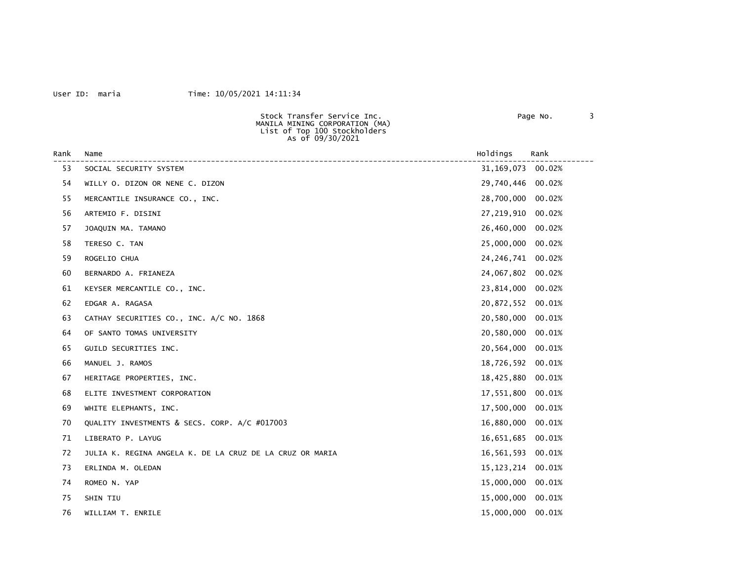### User ID: maria Time: 10/05/2021 14:11:34

 Stock Transfer Service Inc. Page No. 3 MANILA MINING CORPORATION (MA) List of Top 100 Stockholders As of 09/30/2021

| Rank | Name                                                     | Holdings            | Rank   |
|------|----------------------------------------------------------|---------------------|--------|
| 53   | SOCIAL SECURITY SYSTEM                                   | 31, 169, 073 00.02% |        |
| 54   | WILLY 0. DIZON OR NENE C. DIZON                          | 29,740,446          | 00.02% |
| 55   | MERCANTILE INSURANCE CO., INC.                           | 28,700,000          | 00.02% |
| 56   | ARTEMIO F. DISINI                                        | 27,219,910          | 00.02% |
| 57   | JOAQUIN MA. TAMANO                                       | 26,460,000          | 00.02% |
| 58   | TERESO C. TAN                                            | 25,000,000          | 00.02% |
| 59   | ROGELIO CHUA                                             | 24, 246, 741        | 00.02% |
| 60   | BERNARDO A. FRIANEZA                                     | 24,067,802          | 00.02% |
| 61   | KEYSER MERCANTILE CO., INC.                              | 23,814,000          | 00.02% |
| 62   | EDGAR A. RAGASA                                          | 20,872,552          | 00.01% |
| 63   | CATHAY SECURITIES CO., INC. A/C NO. 1868                 | 20,580,000          | 00.01% |
| 64   | OF SANTO TOMAS UNIVERSITY                                | 20,580,000          | 00.01% |
| 65   | GUILD SECURITIES INC.                                    | 20,564,000          | 00.01% |
| 66   | MANUEL J. RAMOS                                          | 18,726,592          | 00.01% |
| 67   | HERITAGE PROPERTIES, INC.                                | 18,425,880          | 00.01% |
| 68   | ELITE INVESTMENT CORPORATION                             | 17,551,800          | 00.01% |
| 69   | WHITE ELEPHANTS, INC.                                    | 17,500,000          | 00.01% |
| 70   | QUALITY INVESTMENTS & SECS. CORP. A/C #017003            | 16,880,000          | 00.01% |
| 71   | LIBERATO P. LAYUG                                        | 16,651,685          | 00.01% |
| 72   | JULIA K. REGINA ANGELA K. DE LA CRUZ DE LA CRUZ OR MARIA | 16,561,593          | 00.01% |
| 73   | ERLINDA M. OLEDAN                                        | 15,123,214          | 00.01% |
| 74   | ROMEO N. YAP                                             | 15,000,000          | 00.01% |
| 75   | SHIN TIU                                                 | 15,000,000          | 00.01% |
| 76   | WILLIAM T. ENRILE                                        | 15,000,000          | 00.01% |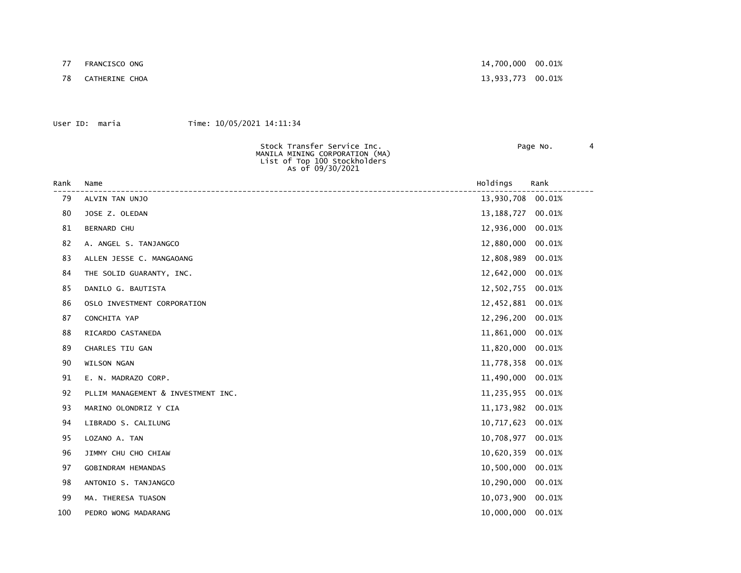77 FRANCISCO ONG 14,700,000 00.01%

78 CATHERINE CHOA 13,933,773 00.01%

### User ID: maria Time: 10/05/2021 14:11:34

 MANILA MINING CORPORATION (MA) List of Top 100 Stockholders As of 09/30/2021

Stock Transfer Service Inc. Page No. 4

| Rank | Name                               | Holdings     | Rank   |
|------|------------------------------------|--------------|--------|
| 79   | ALVIN TAN UNJO                     | 13,930,708   | 00.01% |
| 80   | JOSE Z. OLEDAN                     | 13, 188, 727 | 00.01% |
| 81   | <b>BERNARD CHU</b>                 | 12,936,000   | 00.01% |
| 82   | A. ANGEL S. TANJANGCO              | 12,880,000   | 00.01% |
| 83   | ALLEN JESSE C. MANGAOANG           | 12,808,989   | 00.01% |
| 84   | THE SOLID GUARANTY, INC.           | 12,642,000   | 00.01% |
| 85   | DANILO G. BAUTISTA                 | 12,502,755   | 00.01% |
| 86   | OSLO INVESTMENT CORPORATION        | 12,452,881   | 00.01% |
| 87   | CONCHITA YAP                       | 12,296,200   | 00.01% |
| 88   | RICARDO CASTANEDA                  | 11,861,000   | 00.01% |
| 89   | CHARLES TIU GAN                    | 11,820,000   | 00.01% |
| 90   | WILSON NGAN                        | 11,778,358   | 00.01% |
| 91   | E. N. MADRAZO CORP.                | 11,490,000   | 00.01% |
| 92   | PLLIM MANAGEMENT & INVESTMENT INC. | 11,235,955   | 00.01% |
| 93   | MARINO OLONDRIZ Y CIA              | 11, 173, 982 | 00.01% |
| 94   | LIBRADO S. CALILUNG                | 10,717,623   | 00.01% |
| 95   | LOZANO A. TAN                      | 10,708,977   | 00.01% |
| 96   | JIMMY CHU CHO CHIAW                | 10,620,359   | 00.01% |
| 97   | GOBINDRAM HEMANDAS                 | 10,500,000   | 00.01% |
| 98   | ANTONIO S. TANJANGCO               | 10,290,000   | 00.01% |
| 99   | MA. THERESA TUASON                 | 10,073,900   | 00.01% |
| 100  | PEDRO WONG MADARANG                | 10,000,000   | 00.01% |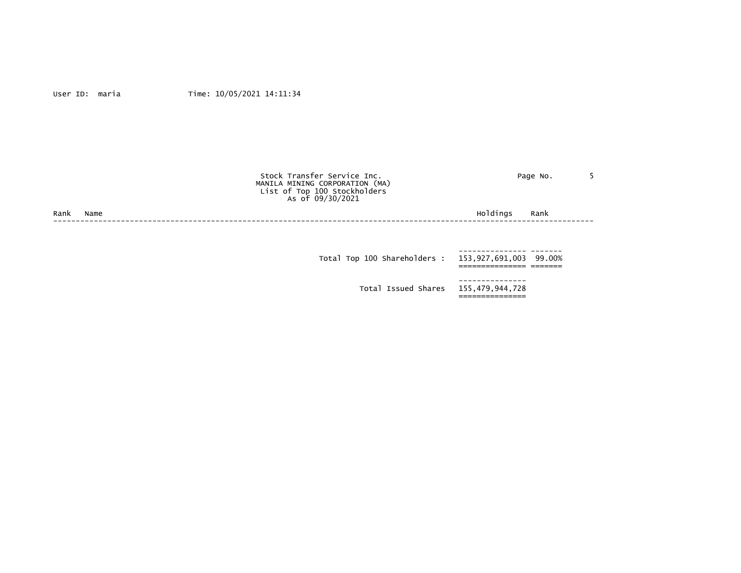|      |      | Stock Transfer Service Inc.<br>MANILA MINING CORPORATION (MA)<br>List of Top 100 Stockholders<br>As of 09/30/2021 | Page No.               |  |
|------|------|-------------------------------------------------------------------------------------------------------------------|------------------------|--|
| Rank | Name |                                                                                                                   | Holdings<br>Rank       |  |
|      |      |                                                                                                                   |                        |  |
|      |      |                                                                                                                   |                        |  |
|      |      | Total Top 100 Shareholders :                                                                                      | 153,927,691,003 99.00% |  |
|      |      |                                                                                                                   |                        |  |

 Total Issued Shares 155,479,944,728 ===============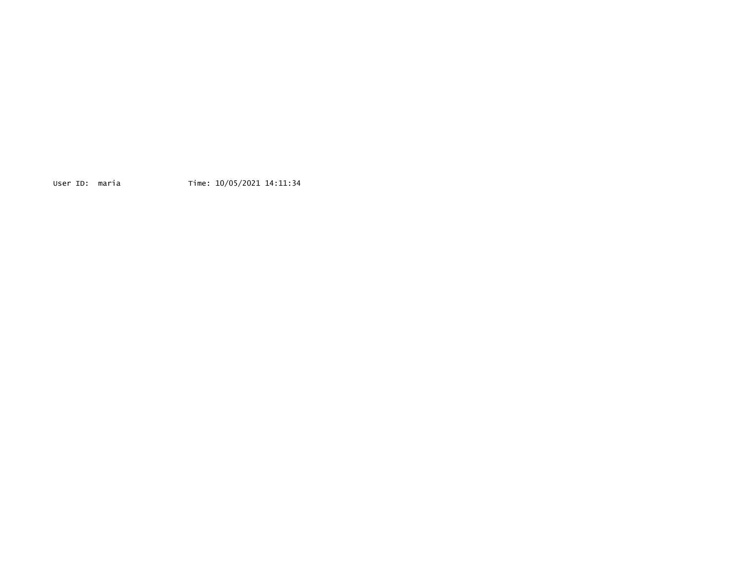User ID: maria Time: 10/05/2021 14:11:34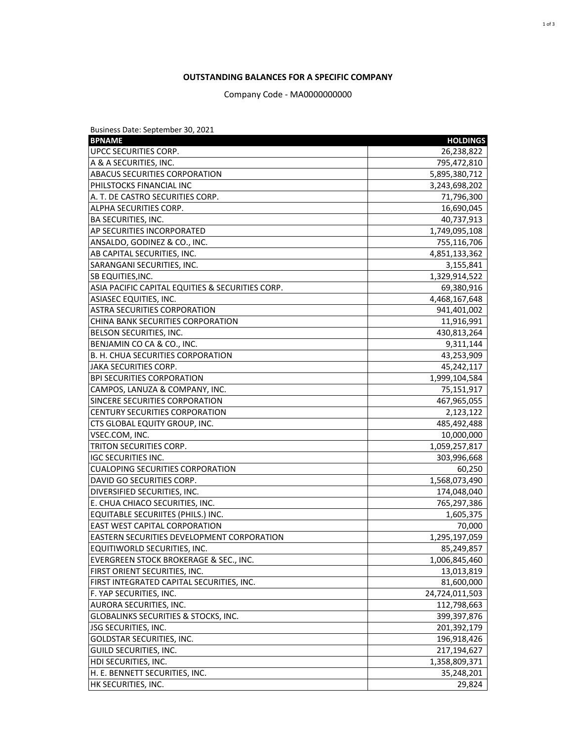## **OUTSTANDING BALANCES FOR A SPECIFIC COMPANY**

Company Code - MA0000000000

| Business Date: September 30, 2021                 |                 |
|---------------------------------------------------|-----------------|
| <b>BPNAME</b>                                     | <b>HOLDINGS</b> |
| UPCC SECURITIES CORP.                             | 26,238,822      |
| A & A SECURITIES, INC.                            | 795,472,810     |
| <b>ABACUS SECURITIES CORPORATION</b>              | 5,895,380,712   |
| PHILSTOCKS FINANCIAL INC                          | 3,243,698,202   |
| A. T. DE CASTRO SECURITIES CORP.                  | 71,796,300      |
| ALPHA SECURITIES CORP.                            | 16,690,045      |
| <b>BA SECURITIES, INC.</b>                        | 40,737,913      |
| AP SECURITIES INCORPORATED                        | 1,749,095,108   |
| ANSALDO, GODINEZ & CO., INC.                      | 755,116,706     |
| AB CAPITAL SECURITIES, INC.                       | 4,851,133,362   |
| SARANGANI SECURITIES, INC.                        | 3,155,841       |
| <b>SB EQUITIES, INC.</b>                          | 1,329,914,522   |
| ASIA PACIFIC CAPITAL EQUITIES & SECURITIES CORP.  | 69,380,916      |
| ASIASEC EQUITIES, INC.                            | 4,468,167,648   |
| ASTRA SECURITIES CORPORATION                      | 941,401,002     |
| CHINA BANK SECURITIES CORPORATION                 | 11,916,991      |
| BELSON SECURITIES, INC.                           | 430,813,264     |
| BENJAMIN CO CA & CO., INC.                        | 9,311,144       |
| B. H. CHUA SECURITIES CORPORATION                 | 43,253,909      |
| JAKA SECURITIES CORP.                             | 45,242,117      |
| <b>BPI SECURITIES CORPORATION</b>                 | 1,999,104,584   |
| CAMPOS, LANUZA & COMPANY, INC.                    | 75,151,917      |
| SINCERE SECURITIES CORPORATION                    | 467,965,055     |
| <b>CENTURY SECURITIES CORPORATION</b>             | 2,123,122       |
| CTS GLOBAL EQUITY GROUP, INC.                     | 485,492,488     |
| VSEC.COM, INC.                                    | 10,000,000      |
| TRITON SECURITIES CORP.                           | 1,059,257,817   |
| <b>IGC SECURITIES INC.</b>                        | 303,996,668     |
| <b>CUALOPING SECURITIES CORPORATION</b>           | 60,250          |
| DAVID GO SECURITIES CORP.                         | 1,568,073,490   |
| DIVERSIFIED SECURITIES, INC.                      | 174,048,040     |
| E. CHUA CHIACO SECURITIES, INC.                   | 765,297,386     |
| EQUITABLE SECURIITES (PHILS.) INC.                | 1,605,375       |
| <b>EAST WEST CAPITAL CORPORATION</b>              | 70,000          |
| <b>EASTERN SECURITIES DEVELOPMENT CORPORATION</b> | 1,295,197,059   |
| EQUITIWORLD SECURITIES, INC.                      | 85,249,857      |
| EVERGREEN STOCK BROKERAGE & SEC., INC.            | 1,006,845,460   |
| FIRST ORIENT SECURITIES, INC.                     | 13,013,819      |
| FIRST INTEGRATED CAPITAL SECURITIES, INC.         | 81,600,000      |
| F. YAP SECURITIES, INC.                           | 24,724,011,503  |
| AURORA SECURITIES, INC.                           | 112,798,663     |
| GLOBALINKS SECURITIES & STOCKS, INC.              | 399,397,876     |
| JSG SECURITIES, INC.                              | 201,392,179     |
| <b>GOLDSTAR SECURITIES, INC.</b>                  | 196,918,426     |
| GUILD SECURITIES, INC.                            | 217,194,627     |
| HDI SECURITIES, INC.                              | 1,358,809,371   |
| H. E. BENNETT SECURITIES, INC.                    | 35,248,201      |
| HK SECURITIES, INC.                               | 29,824          |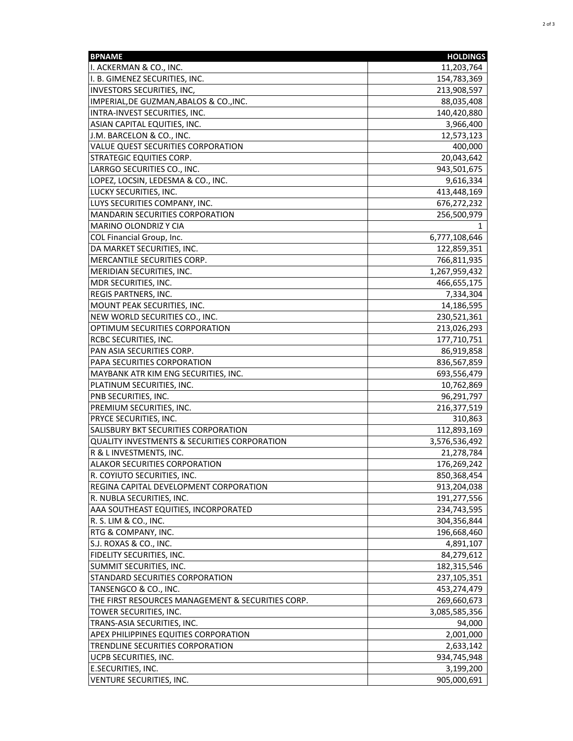| <b>BPNAME</b>                                           | <b>HOLDINGS</b> |
|---------------------------------------------------------|-----------------|
| I. ACKERMAN & CO., INC.                                 | 11,203,764      |
| I. B. GIMENEZ SECURITIES, INC.                          | 154,783,369     |
| <b>INVESTORS SECURITIES, INC,</b>                       | 213,908,597     |
| IMPERIAL, DE GUZMAN, ABALOS & CO., INC.                 | 88,035,408      |
| INTRA-INVEST SECURITIES, INC.                           | 140,420,880     |
| ASIAN CAPITAL EQUITIES, INC.                            | 3,966,400       |
| J.M. BARCELON & CO., INC.                               | 12,573,123      |
| VALUE QUEST SECURITIES CORPORATION                      | 400,000         |
| <b>STRATEGIC EQUITIES CORP.</b>                         | 20,043,642      |
| LARRGO SECURITIES CO., INC.                             | 943,501,675     |
| LOPEZ, LOCSIN, LEDESMA & CO., INC.                      | 9,616,334       |
| LUCKY SECURITIES, INC.                                  | 413,448,169     |
| LUYS SECURITIES COMPANY, INC.                           | 676,272,232     |
| MANDARIN SECURITIES CORPORATION                         | 256,500,979     |
| MARINO OLONDRIZ Y CIA                                   |                 |
| COL Financial Group, Inc.                               | 6,777,108,646   |
| DA MARKET SECURITIES, INC.                              | 122,859,351     |
| MERCANTILE SECURITIES CORP.                             | 766,811,935     |
| MERIDIAN SECURITIES, INC.                               | 1,267,959,432   |
| MDR SECURITIES, INC.                                    | 466,655,175     |
| <b>REGIS PARTNERS, INC.</b>                             | 7,334,304       |
| MOUNT PEAK SECURITIES, INC.                             | 14,186,595      |
| NEW WORLD SECURITIES CO., INC.                          | 230,521,361     |
| OPTIMUM SECURITIES CORPORATION                          | 213,026,293     |
| <b>RCBC SECURITIES, INC.</b>                            | 177,710,751     |
| PAN ASIA SECURITIES CORP.                               | 86,919,858      |
| PAPA SECURITIES CORPORATION                             | 836,567,859     |
| MAYBANK ATR KIM ENG SECURITIES, INC.                    | 693,556,479     |
| PLATINUM SECURITIES, INC.                               | 10,762,869      |
| PNB SECURITIES, INC.                                    | 96,291,797      |
| PREMIUM SECURITIES, INC.                                | 216,377,519     |
| PRYCE SECURITIES, INC.                                  | 310,863         |
| SALISBURY BKT SECURITIES CORPORATION                    | 112,893,169     |
| <b>QUALITY INVESTMENTS &amp; SECURITIES CORPORATION</b> | 3,576,536,492   |
| R & L INVESTMENTS, INC.                                 | 21,278,784      |
| <b>ALAKOR SECURITIES CORPORATION</b>                    | 176,269,242     |
| R. COYIUTO SECURITIES, INC.                             | 850,368,454     |
| REGINA CAPITAL DEVELOPMENT CORPORATION                  | 913,204,038     |
| R. NUBLA SECURITIES, INC.                               | 191,277,556     |
| AAA SOUTHEAST EQUITIES, INCORPORATED                    | 234,743,595     |
| R. S. LIM & CO., INC.                                   | 304,356,844     |
| RTG & COMPANY, INC.                                     | 196,668,460     |
| S.J. ROXAS & CO., INC.                                  | 4,891,107       |
| FIDELITY SECURITIES, INC.                               | 84,279,612      |
| SUMMIT SECURITIES, INC.                                 | 182,315,546     |
| STANDARD SECURITIES CORPORATION                         | 237,105,351     |
| TANSENGCO & CO., INC.                                   | 453,274,479     |
| THE FIRST RESOURCES MANAGEMENT & SECURITIES CORP.       | 269,660,673     |
| TOWER SECURITIES, INC.                                  | 3,085,585,356   |
| TRANS-ASIA SECURITIES, INC.                             | 94,000          |
| <b>APEX PHILIPPINES EQUITIES CORPORATION</b>            | 2,001,000       |
| TRENDLINE SECURITIES CORPORATION                        | 2,633,142       |
| UCPB SECURITIES, INC.                                   | 934,745,948     |
| E.SECURITIES, INC.                                      | 3,199,200       |
| VENTURE SECURITIES, INC.                                | 905,000,691     |
|                                                         |                 |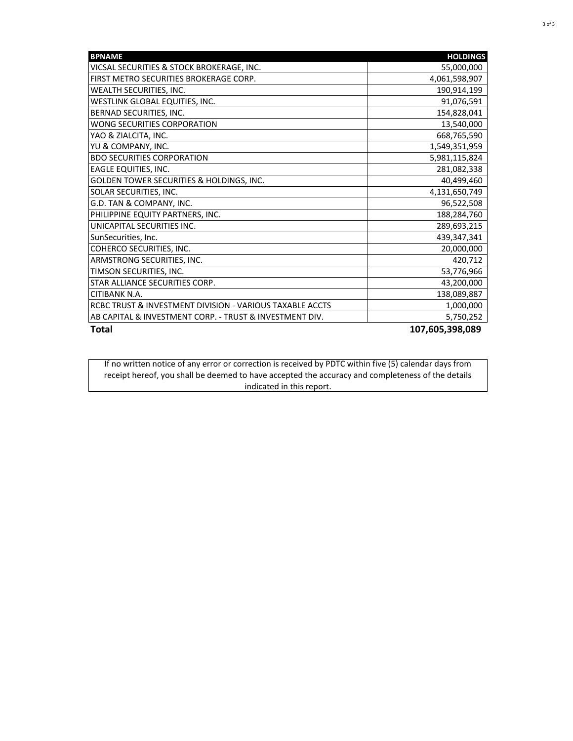| <b>BPNAME</b>                                            | <b>HOLDINGS</b> |
|----------------------------------------------------------|-----------------|
| VICSAL SECURITIES & STOCK BROKERAGE, INC.                | 55,000,000      |
| FIRST METRO SECURITIES BROKERAGE CORP.                   | 4,061,598,907   |
| WEALTH SECURITIES, INC.                                  | 190,914,199     |
| WESTLINK GLOBAL EQUITIES, INC.                           | 91,076,591      |
| BERNAD SECURITIES, INC.                                  | 154,828,041     |
| WONG SECURITIES CORPORATION                              | 13,540,000      |
| YAO & ZIALCITA, INC.                                     | 668,765,590     |
| YU & COMPANY, INC.                                       | 1,549,351,959   |
| <b>BDO SECURITIES CORPORATION</b>                        | 5,981,115,824   |
| <b>EAGLE EQUITIES, INC.</b>                              | 281,082,338     |
| GOLDEN TOWER SECURITIES & HOLDINGS, INC.                 | 40,499,460      |
| SOLAR SECURITIES, INC.                                   | 4,131,650,749   |
| G.D. TAN & COMPANY, INC.                                 | 96,522,508      |
| PHILIPPINE EQUITY PARTNERS, INC.                         | 188,284,760     |
| UNICAPITAL SECURITIES INC.                               | 289,693,215     |
| SunSecurities, Inc.                                      | 439,347,341     |
| COHERCO SECURITIES, INC.                                 | 20,000,000      |
| ARMSTRONG SECURITIES, INC.                               | 420,712         |
| TIMSON SECURITIES, INC.                                  | 53,776,966      |
| STAR ALLIANCE SECURITIES CORP.                           | 43,200,000      |
| CITIBANK N.A.                                            | 138,089,887     |
| RCBC TRUST & INVESTMENT DIVISION - VARIOUS TAXABLE ACCTS | 1,000,000       |
| AB CAPITAL & INVESTMENT CORP. - TRUST & INVESTMENT DIV.  | 5,750,252       |
| <b>Total</b>                                             | 107,605,398,089 |

If no written notice of any error or correction is received by PDTC within five (5) calendar days from receipt hereof, you shall be deemed to have accepted the accuracy and completeness of the details indicated in this report.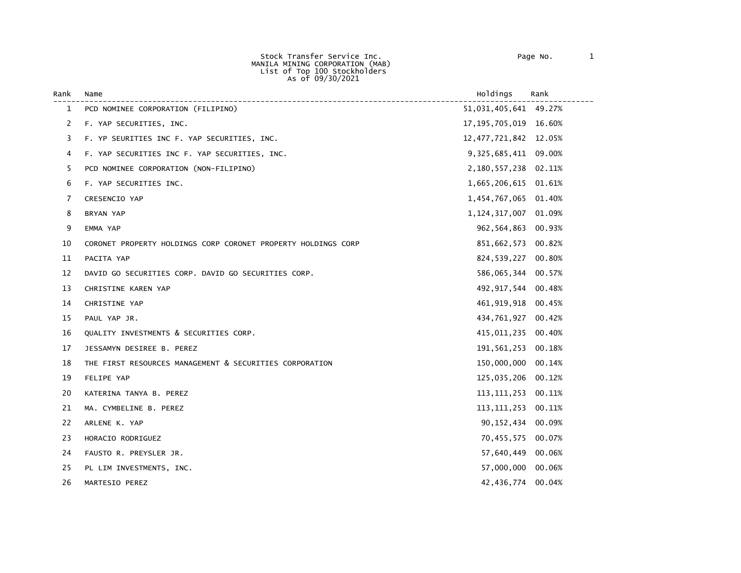Stock Transfer Service Inc. Page No. 1 MANILA MINING CORPORATION (MAB) List of Top 100 Stockholders As of 09/30/2021

| Rank | Name                                                          | Holdings                 | Rank   |
|------|---------------------------------------------------------------|--------------------------|--------|
| 1    | PCD NOMINEE CORPORATION (FILIPINO)                            | 51,031,405,641 49.27%    |        |
| 2    | F. YAP SECURITIES, INC.                                       | 17, 195, 705, 019 16.60% |        |
| 3    | F. YP SEURITIES INC F. YAP SECURITIES, INC.                   | 12, 477, 721, 842 12.05% |        |
| 4    | F. YAP SECURITIES INC F. YAP SECURITIES, INC.                 | 9,325,685,411 09.00%     |        |
| 5    | PCD NOMINEE CORPORATION (NON-FILIPINO)                        | 2,180,557,238 02.11%     |        |
| 6    | F. YAP SECURITIES INC.                                        | 1,665,206,615 01.61%     |        |
| 7    | CRESENCIO YAP                                                 | 1,454,767,065            | 01.40% |
| 8    | BRYAN YAP                                                     | 1, 124, 317, 007         | 01.09% |
| 9    | EMMA YAP                                                      | 962,564,863              | 00.93% |
| 10   | CORONET PROPERTY HOLDINGS CORP CORONET PROPERTY HOLDINGS CORP | 851,662,573              | 00.82% |
| 11   | PACITA YAP                                                    | 824,539,227              | 00.80% |
| 12   | DAVID GO SECURITIES CORP. DAVID GO SECURITIES CORP.           | 586,065,344              | 00.57% |
| 13   | CHRISTINE KAREN YAP                                           | 492, 917, 544 00.48%     |        |
| 14   | CHRISTINE YAP                                                 | 461, 919, 918 00.45%     |        |
| 15   | PAUL YAP JR.                                                  | 434,761,927              | 00.42% |
| 16   | QUALITY INVESTMENTS & SECURITIES CORP.                        | 415,011,235              | 00.40% |
| 17   | JESSAMYN DESIREE B. PEREZ                                     | 191,561,253              | 00.18% |
| 18   | THE FIRST RESOURCES MANAGEMENT & SECURITIES CORPORATION       | 150,000,000              | 00.14% |
| 19   | FELIPE YAP                                                    | 125,035,206              | 00.12% |
| 20   | KATERINA TANYA B. PEREZ                                       | 113, 111, 253 00. 11%    |        |
| 21   | MA. CYMBELINE B. PEREZ                                        | 113, 111, 253            | 00.11% |
| 22   | ARLENE K. YAP                                                 | 90,152,434               | 00.09% |
| 23   | HORACIO RODRIGUEZ                                             | 70,455,575 00.07%        |        |
| 24   | FAUSTO R. PREYSLER JR.                                        | 57,640,449               | 00.06% |
| 25   | PL LIM INVESTMENTS, INC.                                      | 57,000,000 00.06%        |        |
| 26   | MARTESIO PEREZ                                                | 42,436,774               | 00.04% |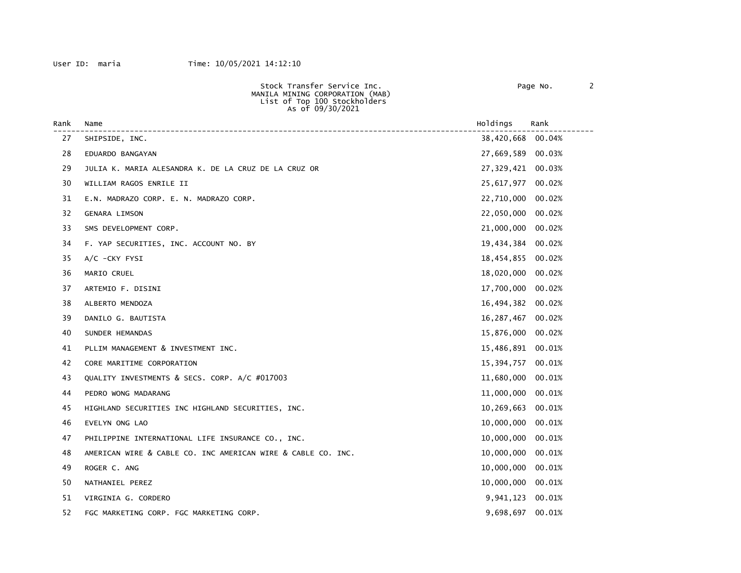| Rank | Name                                                         | Holdings          | Rank   |
|------|--------------------------------------------------------------|-------------------|--------|
| 27   | SHIPSIDE, INC.                                               | 38,420,668        | 00.04% |
| 28   | EDUARDO BANGAYAN                                             | 27,669,589        | 00.03% |
| 29   | JULIA K. MARIA ALESANDRA K. DE LA CRUZ DE LA CRUZ OR         | 27,329,421 00.03% |        |
| 30   | WILLIAM RAGOS ENRILE II                                      | 25,617,977        | 00.02% |
| 31   | E.N. MADRAZO CORP. E. N. MADRAZO CORP.                       | 22,710,000        | 00.02% |
| 32   | GENARA LIMSON                                                | 22,050,000        | 00.02% |
| 33   | SMS DEVELOPMENT CORP.                                        | 21,000,000        | 00.02% |
| 34   | F. YAP SECURITIES, INC. ACCOUNT NO. BY                       | 19,434,384        | 00.02% |
| 35   | $A/C$ -CKY FYSI                                              | 18,454,855        | 00.02% |
| 36   | MARIO CRUEL                                                  | 18,020,000        | 00.02% |
| 37   | ARTEMIO F. DISINI                                            | 17,700,000        | 00.02% |
| 38   | ALBERTO MENDOZA                                              | 16,494,382        | 00.02% |
| 39   | DANILO G. BAUTISTA                                           | 16,287,467        | 00.02% |
| 40   | SUNDER HEMANDAS                                              | 15,876,000        | 00.02% |
| 41   | PLLIM MANAGEMENT & INVESTMENT INC.                           | 15,486,891        | 00.01% |
| 42   | CORE MARITIME CORPORATION                                    | 15,394,757        | 00.01% |
| 43   | QUALITY INVESTMENTS & SECS. CORP. A/C #017003                | 11,680,000        | 00.01% |
| 44   | PEDRO WONG MADARANG                                          | 11,000,000        | 00.01% |
| 45   | HIGHLAND SECURITIES INC HIGHLAND SECURITIES, INC.            | 10,269,663        | 00.01% |
| 46   | EVELYN ONG LAO                                               | 10,000,000        | 00.01% |
| 47   | PHILIPPINE INTERNATIONAL LIFE INSURANCE CO., INC.            | 10,000,000        | 00.01% |
| 48   | AMERICAN WIRE & CABLE CO. INC AMERICAN WIRE & CABLE CO. INC. | 10,000,000        | 00.01% |
| 49   | ROGER C. ANG                                                 | 10,000,000        | 00.01% |
| 50   | NATHANIEL PEREZ                                              | 10,000,000        | 00.01% |
| 51   | VIRGINIA G. CORDERO                                          | 9,941,123         | 00.01% |
| 52   | FGC MARKETING CORP. FGC MARKETING CORP.                      | 9,698,697         | 00.01% |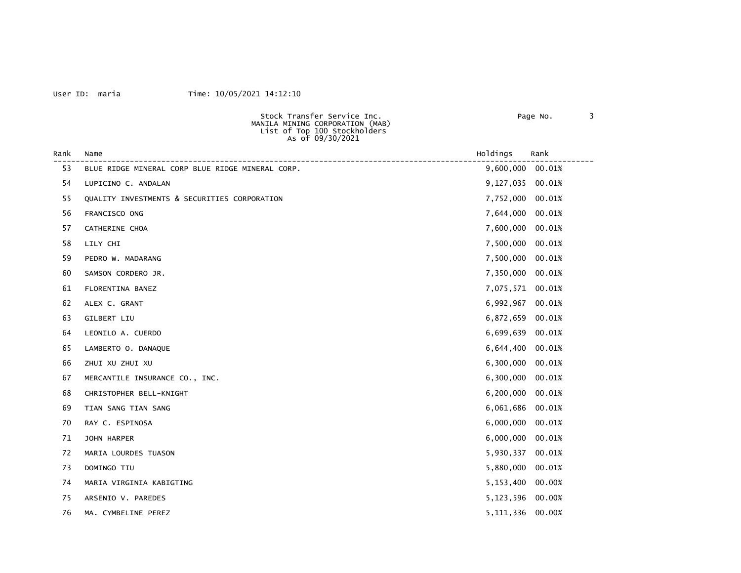### User ID: maria Time: 10/05/2021 14:12:10

 Stock Transfer Service Inc. Page No. 3 MANILA MINING CORPORATION (MAB) List of Top 100 Stockholders As of 09/30/2021

| Rank | Name<br>-----------------------------------      | Holdings         | Rank   |
|------|--------------------------------------------------|------------------|--------|
| 53   | BLUE RIDGE MINERAL CORP BLUE RIDGE MINERAL CORP. | 9,600,000 00.01% |        |
| 54   | LUPICINO C. ANDALAN                              | 9,127,035        | 00.01% |
| 55   | QUALITY INVESTMENTS & SECURITIES CORPORATION     | 7,752,000        | 00.01% |
| 56   | FRANCISCO ONG                                    | 7,644,000        | 00.01% |
| 57   | CATHERINE CHOA                                   | 7,600,000        | 00.01% |
| 58   | LILY CHI                                         | 7,500,000        | 00.01% |
| 59   | PEDRO W. MADARANG                                | 7,500,000        | 00.01% |
| 60   | SAMSON CORDERO JR.                               | 7,350,000        | 00.01% |
| 61   | FLORENTINA BANEZ                                 | 7,075,571        | 00.01% |
| 62   | ALEX C. GRANT                                    | 6,992,967        | 00.01% |
| 63   | GILBERT LIU                                      | 6,872,659        | 00.01% |
| 64   | LEONILO A. CUERDO                                | 6,699,639        | 00.01% |
| 65   | LAMBERTO O. DANAQUE                              | 6,644,400        | 00.01% |
| 66   | ZHUI XU ZHUI XU                                  | 6,300,000        | 00.01% |
| 67   | MERCANTILE INSURANCE CO., INC.                   | 6,300,000        | 00.01% |
| 68   | CHRISTOPHER BELL-KNIGHT                          | 6,200,000        | 00.01% |
| 69   | TIAN SANG TIAN SANG                              | 6,061,686        | 00.01% |
| 70   | RAY C. ESPINOSA                                  | 6,000,000        | 00.01% |
| 71   | JOHN HARPER                                      | 6,000,000        | 00.01% |
| 72   | MARIA LOURDES TUASON                             | 5,930,337        | 00.01% |
| 73   | DOMINGO TIU                                      | 5,880,000        | 00.01% |
| 74   | MARIA VIRGINIA KABIGTING                         | 5,153,400        | 00.00% |
| 75   | ARSENIO V. PAREDES                               | 5,123,596 00.00% |        |
| 76   | MA. CYMBELINE PEREZ                              | 5,111,336        | 00.00% |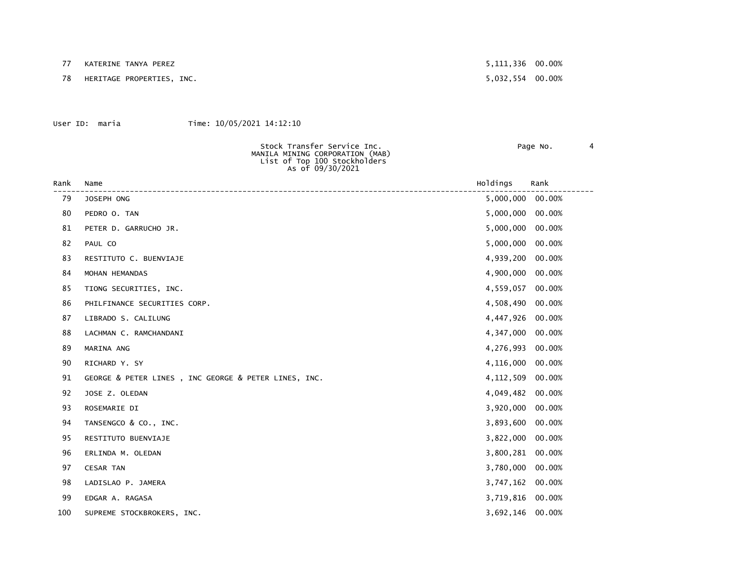77 KATERINE TANYA PEREZ 5,111,336 00.00%

78 HERITAGE PROPERTIES, INC. 5,032,554 00.00%

### User ID: maria Time: 10/05/2021 14:12:10

 MANILA MINING CORPORATION (MAB) List of Top 100 Stockholders

Stock Transfer Service Inc. The Contract of Page No. 4

 As of 09/30/2021 Rank Name Holdings Rank ------------------------------------------------------------------------------------------------------------------------ 5,000,000 00.00% 80 PEDRO O. TAN 5,000,000 00.00% 81 PETER D. GARRUCHO JR. 5,000,000 00.00% 82 PAUL CO 600 00.00% 100 PAUL CO 600 00 PAUL CO 600 PAUL CO 600 PAUL CO 600 PAUL CO 600 PAUL CO 600 PAUL CO 600 PAUL CO 600 PAUL CO 600 PAUL CO 600 PAUL CO 600 PAUL CO 600 PAUL CO 600 PAUL CO 600 PAUL CO 600 PAUL CO 600 P 83 RESTITUTO C. BUENVIAJE 4,939,200 00.00% 84 MOHAN HEMANDAS 4,900,000 00.00% 85 TIONG SECURITIES, INC. And the state of the state of the state of the state of the 4,559,057 00.00% 86 PHILFINANCE SECURITIES CORP. 4,508,490 00.00% 87 LIBRADO S. CALILUNG 4,447,926 00.00% 88 LACHMAN C. RAMCHANDANI 4,347,000 00.00% 89 MARINA ANG 4,276,993 00.00% 90 RICHARD Y. SY 4,116,000 00.00% 91 GEORGE & PETER LINES, INC GEORGE & PETER LINES, INC.  $4,112,509$  00.00% 92 JOSE Z. OLEDAN 4,049,482 00.00% 93 ROSEMARIE DI 3,920,000 00.00% 94 TANSENGCO & CO., INC. 3,893,600 00.00% 95 RESTITUTO BUENVIAJE 3,822,000 00.00% 96 ERLINDA M. OLEDAN 3,800,281 00.00% 97 CESAR TAN 3,780,000 00.00% 98 LADISLAO P. JAMERA 3,747,162 00.00% 99 EDGAR A. RAGASA 3,719,816 00.00%

100 SUPREME STOCKBROKERS, INC. 3,692,146 00.00%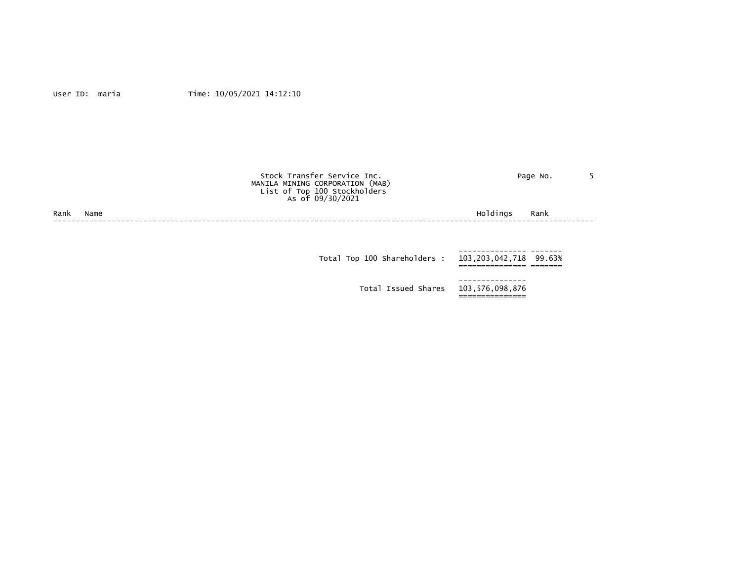|              | Stock Transfer Service Inc.<br>MANILA MINING CORPORATION (MAB)<br>List of Top 100 Stockholders<br>As of 09/30/2021 | Page No.                  |  |
|--------------|--------------------------------------------------------------------------------------------------------------------|---------------------------|--|
| Rank<br>Name |                                                                                                                    | Holdings<br>Rank          |  |
|              |                                                                                                                    |                           |  |
|              | Total Top 100 Shareholders :                                                                                       | 103, 203, 042, 718 99.63% |  |
|              |                                                                                                                    |                           |  |

 Total Issued Shares 103,576,098,876 ===============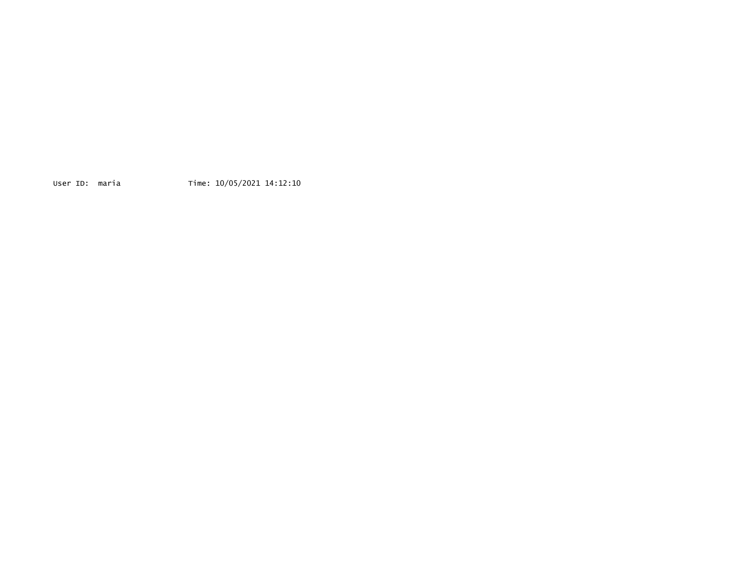User ID: maria Time: 10/05/2021 14:12:10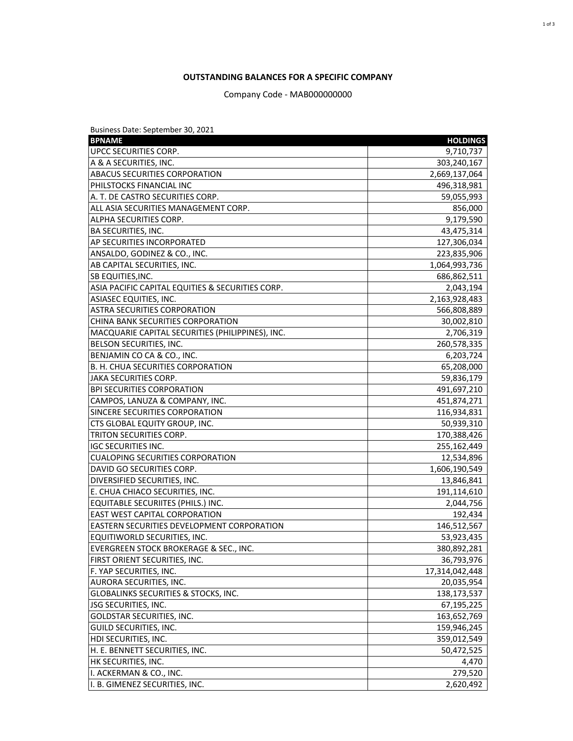## **OUTSTANDING BALANCES FOR A SPECIFIC COMPANY**

Company Code - MAB000000000

| Business Date: September 30, 2021                 |                 |  |  |  |
|---------------------------------------------------|-----------------|--|--|--|
| <b>BPNAME</b>                                     | <b>HOLDINGS</b> |  |  |  |
| UPCC SECURITIES CORP.                             | 9,710,737       |  |  |  |
| A & A SECURITIES, INC.                            | 303,240,167     |  |  |  |
| <b>ABACUS SECURITIES CORPORATION</b>              | 2,669,137,064   |  |  |  |
| PHILSTOCKS FINANCIAL INC                          | 496,318,981     |  |  |  |
| A. T. DE CASTRO SECURITIES CORP.                  | 59,055,993      |  |  |  |
| ALL ASIA SECURITIES MANAGEMENT CORP.              | 856,000         |  |  |  |
| ALPHA SECURITIES CORP.                            | 9,179,590       |  |  |  |
| <b>BA SECURITIES, INC.</b>                        | 43,475,314      |  |  |  |
| AP SECURITIES INCORPORATED                        | 127,306,034     |  |  |  |
| ANSALDO, GODINEZ & CO., INC.                      | 223,835,906     |  |  |  |
| AB CAPITAL SECURITIES, INC.                       | 1,064,993,736   |  |  |  |
| SB EQUITIES, INC.                                 | 686,862,511     |  |  |  |
| ASIA PACIFIC CAPITAL EQUITIES & SECURITIES CORP.  | 2,043,194       |  |  |  |
| ASIASEC EQUITIES, INC.                            | 2,163,928,483   |  |  |  |
| ASTRA SECURITIES CORPORATION                      | 566,808,889     |  |  |  |
| CHINA BANK SECURITIES CORPORATION                 | 30,002,810      |  |  |  |
| MACQUARIE CAPITAL SECURITIES (PHILIPPINES), INC.  | 2,706,319       |  |  |  |
| BELSON SECURITIES, INC.                           | 260,578,335     |  |  |  |
| BENJAMIN CO CA & CO., INC.                        | 6,203,724       |  |  |  |
| B. H. CHUA SECURITIES CORPORATION                 | 65,208,000      |  |  |  |
| <b>JAKA SECURITIES CORP.</b>                      | 59,836,179      |  |  |  |
| <b>BPI SECURITIES CORPORATION</b>                 | 491,697,210     |  |  |  |
| CAMPOS, LANUZA & COMPANY, INC.                    | 451,874,271     |  |  |  |
| SINCERE SECURITIES CORPORATION                    | 116,934,831     |  |  |  |
| CTS GLOBAL EQUITY GROUP, INC.                     | 50,939,310      |  |  |  |
| TRITON SECURITIES CORP.                           | 170,388,426     |  |  |  |
| <b>IGC SECURITIES INC.</b>                        | 255,162,449     |  |  |  |
| <b>CUALOPING SECURITIES CORPORATION</b>           | 12,534,896      |  |  |  |
| DAVID GO SECURITIES CORP.                         | 1,606,190,549   |  |  |  |
| DIVERSIFIED SECURITIES, INC.                      | 13,846,841      |  |  |  |
| E. CHUA CHIACO SECURITIES, INC.                   | 191,114,610     |  |  |  |
| EQUITABLE SECURIITES (PHILS.) INC.                | 2,044,756       |  |  |  |
| <b>EAST WEST CAPITAL CORPORATION</b>              | 192,434         |  |  |  |
| <b>EASTERN SECURITIES DEVELOPMENT CORPORATION</b> | 146,512,567     |  |  |  |
| EQUITIWORLD SECURITIES, INC.                      | 53,923,435      |  |  |  |
| EVERGREEN STOCK BROKERAGE & SEC., INC.            | 380,892,281     |  |  |  |
| FIRST ORIENT SECURITIES, INC.                     | 36,793,976      |  |  |  |
| F. YAP SECURITIES, INC.                           | 17,314,042,448  |  |  |  |
| AURORA SECURITIES, INC.                           | 20,035,954      |  |  |  |
| GLOBALINKS SECURITIES & STOCKS, INC.              | 138,173,537     |  |  |  |
| JSG SECURITIES, INC.                              | 67,195,225      |  |  |  |
| GOLDSTAR SECURITIES, INC.                         | 163,652,769     |  |  |  |
| GUILD SECURITIES, INC.                            | 159,946,245     |  |  |  |
| HDI SECURITIES, INC.                              | 359,012,549     |  |  |  |
| H. E. BENNETT SECURITIES, INC.                    | 50,472,525      |  |  |  |
| HK SECURITIES, INC.                               | 4,470           |  |  |  |
| I. ACKERMAN & CO., INC.                           | 279,520         |  |  |  |
| I. B. GIMENEZ SECURITIES, INC.                    | 2,620,492       |  |  |  |
|                                                   |                 |  |  |  |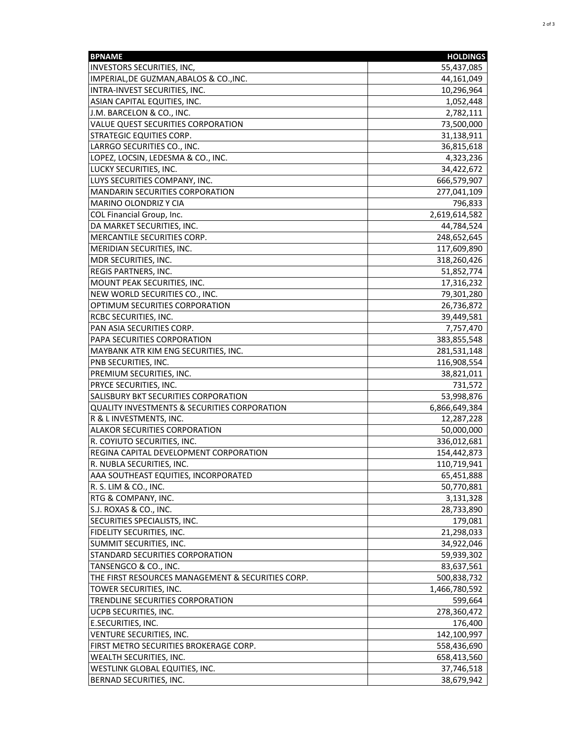| <b>BPNAME</b>                                           | <b>HOLDINGS</b> |
|---------------------------------------------------------|-----------------|
| <b>INVESTORS SECURITIES, INC,</b>                       | 55,437,085      |
| IMPERIAL, DE GUZMAN, ABALOS & CO., INC.                 | 44,161,049      |
| INTRA-INVEST SECURITIES, INC.                           | 10,296,964      |
| ASIAN CAPITAL EQUITIES, INC.                            | 1,052,448       |
| J.M. BARCELON & CO., INC.                               | 2,782,111       |
| VALUE QUEST SECURITIES CORPORATION                      | 73,500,000      |
| STRATEGIC EQUITIES CORP.                                | 31,138,911      |
| LARRGO SECURITIES CO., INC.                             | 36,815,618      |
| LOPEZ, LOCSIN, LEDESMA & CO., INC.                      | 4,323,236       |
| LUCKY SECURITIES, INC.                                  | 34,422,672      |
| LUYS SECURITIES COMPANY, INC.                           | 666,579,907     |
| MANDARIN SECURITIES CORPORATION                         | 277,041,109     |
| <b>MARINO OLONDRIZ Y CIA</b>                            | 796,833         |
| COL Financial Group, Inc.                               | 2,619,614,582   |
| DA MARKET SECURITIES, INC.                              | 44,784,524      |
| MERCANTILE SECURITIES CORP.                             | 248,652,645     |
|                                                         | 117,609,890     |
| MERIDIAN SECURITIES, INC.<br>MDR SECURITIES, INC.       |                 |
|                                                         | 318,260,426     |
| REGIS PARTNERS, INC.                                    | 51,852,774      |
| MOUNT PEAK SECURITIES, INC.                             | 17,316,232      |
| NEW WORLD SECURITIES CO., INC.                          | 79,301,280      |
| OPTIMUM SECURITIES CORPORATION                          | 26,736,872      |
| RCBC SECURITIES, INC.                                   | 39,449,581      |
| PAN ASIA SECURITIES CORP.                               | 7,757,470       |
| PAPA SECURITIES CORPORATION                             | 383,855,548     |
| MAYBANK ATR KIM ENG SECURITIES, INC.                    | 281,531,148     |
| PNB SECURITIES, INC.                                    | 116,908,554     |
| PREMIUM SECURITIES, INC.                                | 38,821,011      |
| PRYCE SECURITIES, INC.                                  | 731,572         |
| SALISBURY BKT SECURITIES CORPORATION                    | 53,998,876      |
| <b>QUALITY INVESTMENTS &amp; SECURITIES CORPORATION</b> | 6,866,649,384   |
| R & L INVESTMENTS, INC.                                 | 12,287,228      |
| <b>ALAKOR SECURITIES CORPORATION</b>                    | 50,000,000      |
| R. COYIUTO SECURITIES, INC.                             | 336,012,681     |
| REGINA CAPITAL DEVELOPMENT CORPORATION                  | 154,442,873     |
| R. NUBLA SECURITIES, INC.                               | 110,719,941     |
| AAA SOUTHEAST EQUITIES, INCORPORATED                    | 65,451,888      |
| R. S. LIM & CO., INC.                                   | 50,770,881      |
| RTG & COMPANY, INC.                                     | 3,131,328       |
| S.J. ROXAS & CO., INC.                                  | 28,733,890      |
| SECURITIES SPECIALISTS, INC.                            | 179,081         |
| <b>FIDELITY SECURITIES, INC.</b>                        | 21,298,033      |
| SUMMIT SECURITIES, INC.                                 | 34,922,046      |
| STANDARD SECURITIES CORPORATION                         | 59,939,302      |
| TANSENGCO & CO., INC.                                   | 83,637,561      |
| THE FIRST RESOURCES MANAGEMENT & SECURITIES CORP.       | 500,838,732     |
| TOWER SECURITIES, INC.                                  | 1,466,780,592   |
| TRENDLINE SECURITIES CORPORATION                        | 599,664         |
| UCPB SECURITIES, INC.                                   | 278,360,472     |
| E.SECURITIES, INC.                                      | 176,400         |
| VENTURE SECURITIES, INC.                                | 142,100,997     |
|                                                         |                 |
| FIRST METRO SECURITIES BROKERAGE CORP.                  | 558,436,690     |
| WEALTH SECURITIES, INC.                                 | 658,413,560     |
| WESTLINK GLOBAL EQUITIES, INC.                          | 37,746,518      |
| BERNAD SECURITIES, INC.                                 | 38,679,942      |